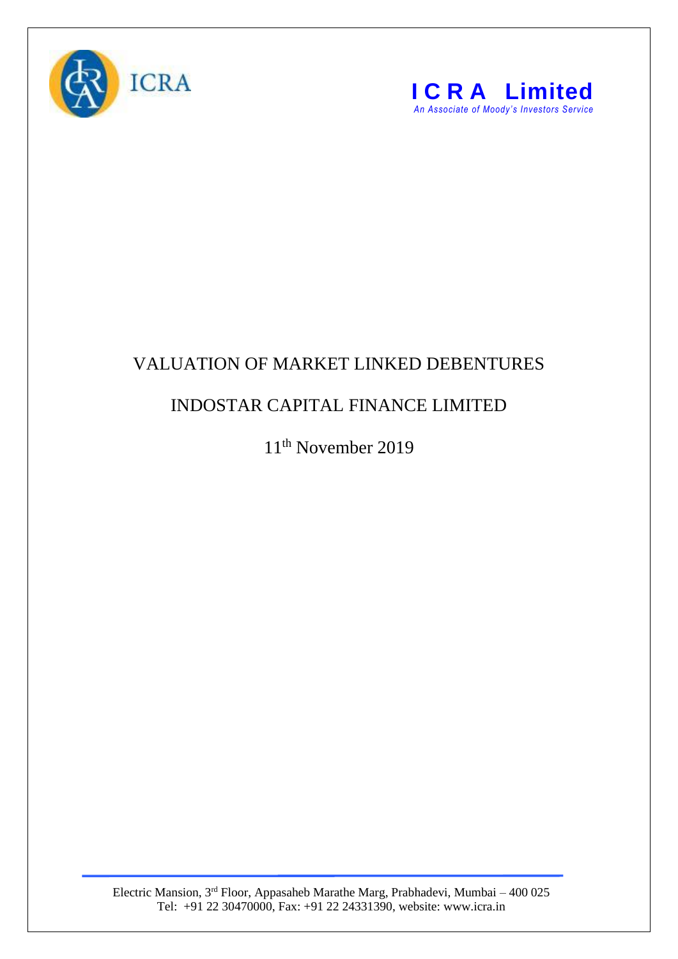



## VALUATION OF MARKET LINKED DEBENTURES

## INDOSTAR CAPITAL FINANCE LIMITED

11th November 2019

Electric Mansion, 3<sup>rd</sup> Floor, Appasaheb Marathe Marg, Prabhadevi, Mumbai – 400 025 Tel: +91 22 30470000, Fax: +91 22 24331390, website: www.icra.in